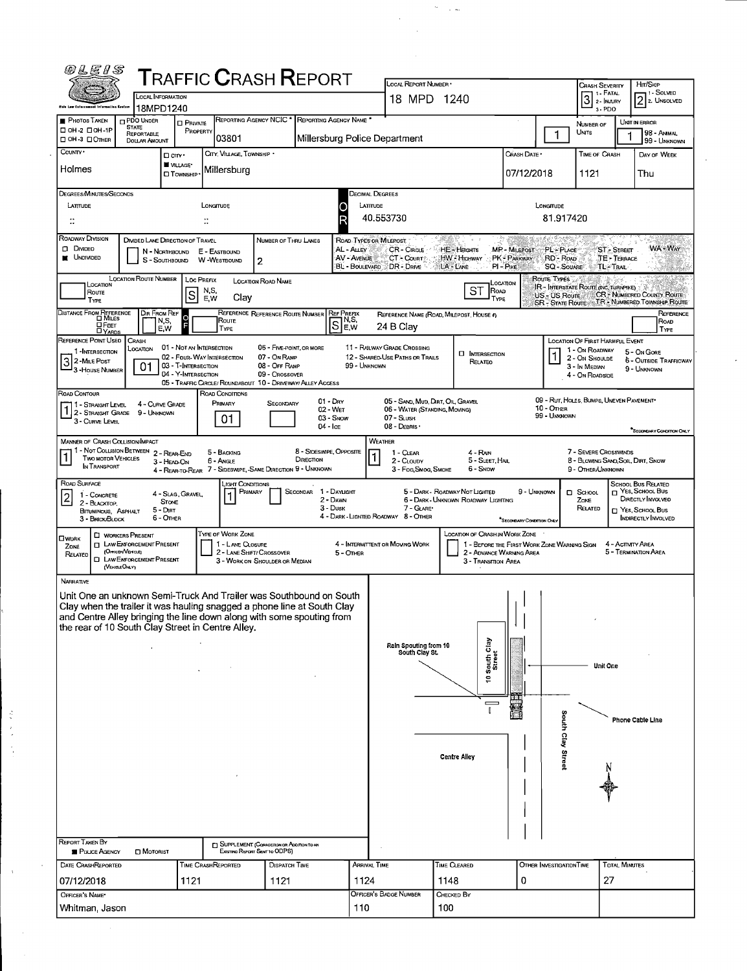| 08E8S                                                                                                                                                                                                                                                                       |                                                                                                                                    |                                                                        | <b>TRAFFIC CRASH REPORT</b>                                                               |                                                                             |                                                          |                                  | LOCAL REPORT NUMBER .                                              |                                                                       |                                                                                                                                                    |                                         |                                                                        | <b>CRASH SEVERITY</b>                                                |                             | HIT/SKIP                                                                                                             |
|-----------------------------------------------------------------------------------------------------------------------------------------------------------------------------------------------------------------------------------------------------------------------------|------------------------------------------------------------------------------------------------------------------------------------|------------------------------------------------------------------------|-------------------------------------------------------------------------------------------|-----------------------------------------------------------------------------|----------------------------------------------------------|----------------------------------|--------------------------------------------------------------------|-----------------------------------------------------------------------|----------------------------------------------------------------------------------------------------------------------------------------------------|-----------------------------------------|------------------------------------------------------------------------|----------------------------------------------------------------------|-----------------------------|----------------------------------------------------------------------------------------------------------------------|
| this Law Enforcement Information Egatem                                                                                                                                                                                                                                     | <b>LOCAL INFORMATION</b><br>18MPD1240                                                                                              |                                                                        |                                                                                           |                                                                             |                                                          |                                  |                                                                    | 18 MPD 1240                                                           |                                                                                                                                                    |                                         |                                                                        | 3 <sup>1. FATAL</sup><br>3-PDO                                       |                             | <sup>1</sup> -SOLVED<br>2 2. UNSOLVED                                                                                |
| <b>PHOTOS TAKEN</b>                                                                                                                                                                                                                                                         | <b>D</b> PDO UNDER<br><b>STATE</b>                                                                                                 | <b>D</b> PRIVATE                                                       | REPORTING AGENCY NCIC'                                                                    |                                                                             | REPORTING AGENCY NAME <sup>®</sup>                       |                                  |                                                                    |                                                                       |                                                                                                                                                    |                                         |                                                                        | NUMBER OF                                                            |                             | UNIT IN ERROR                                                                                                        |
| $\square$ OH-2 $\square$ OH-IP<br>□ OH-3 □ OTHER                                                                                                                                                                                                                            | REPORTABLE<br><b>DOLLAR AMOUNT</b>                                                                                                 | PROPERTY                                                               | 03801                                                                                     |                                                                             | Millersburg Police Department                            |                                  |                                                                    |                                                                       |                                                                                                                                                    |                                         | $\mathbf{1}$                                                           | UNITS                                                                |                             | 98 - Animal<br>99 - Unknown                                                                                          |
| COUNTY'<br>Holmes                                                                                                                                                                                                                                                           |                                                                                                                                    | Dcm <sub>1</sub><br>VILLAGE*<br><b>CI TOWNSHIP</b>                     | CITY, VILLAGE, TOWNSHIP *<br>Millersburg                                                  |                                                                             |                                                          |                                  |                                                                    |                                                                       |                                                                                                                                                    | CRASH DATE *<br>07/12/2018              |                                                                        | <b>TIME OF CRASH</b><br>1121                                         |                             | DAY OF WEEK<br>Thu                                                                                                   |
| DEGREES/MINUTES/SECONDS<br>LATITUDE                                                                                                                                                                                                                                         |                                                                                                                                    |                                                                        | LONGITUDE<br>$\ddot{ }$                                                                   |                                                                             | O                                                        | DECIMAL DEGREES<br>LATITUDE      | 40.553730                                                          |                                                                       |                                                                                                                                                    |                                         | LONGITUDE<br>81.917420                                                 |                                                                      |                             |                                                                                                                      |
| ROADWAY DIVISION                                                                                                                                                                                                                                                            | DIVIDED LANE DIRECTION OF TRAVEL                                                                                                   |                                                                        |                                                                                           | NUMBER OF THRU LANES                                                        |                                                          | ROAD TYPES OR MILEPOST           |                                                                    |                                                                       |                                                                                                                                                    |                                         |                                                                        |                                                                      |                             |                                                                                                                      |
| $\square$ Divideo<br><b>UNDIVIDED</b>                                                                                                                                                                                                                                       |                                                                                                                                    | N - Northbound<br>S - SOUTHBOUND                                       | E - EASTBOUND<br><b>W-WESTBOUND</b>                                                       | 2                                                                           |                                                          | AL - ALLEY<br><b>AV - AVENUE</b> | <b>CR-CIRCLE</b><br><b>CT - Count</b><br>BL - BOULEVARD DR - DRIVE | HE-HEIGHTS<br>HW Highway<br>LA - LANE                                 | MP - MILEPOST<br>PK - PARKWAY<br>$PI - P$ IKE                                                                                                      |                                         | PL - PLACE<br>RD - ROAD<br><b>SQ - SOUARE</b>                          | ™ TL- Trail                                                          | ST - STREET<br>TE - TERRACE | WA - Way                                                                                                             |
| LOCATION<br>Route<br>TYPE                                                                                                                                                                                                                                                   | LOCATION ROUTE NUMBER                                                                                                              | lsl                                                                    | <b>LOC PREFIX</b><br>N,S,<br>E, W<br>Clay                                                 | <b>LOCATION ROAD NAME</b>                                                   |                                                          |                                  |                                                                    |                                                                       | LOCATION<br><b>ST</b><br>ROAD<br>TYPE                                                                                                              |                                         | Route Types<br>IR - INTERSTATE ROUTE (INC. TURNPIKE)                   |                                                                      |                             | US - US Route CR - NUMBERED COUNTY ROUTE                                                                             |
| DISTANCE FROM REFERENCE<br>$\Box$ Feet<br><b>DYARDS</b>                                                                                                                                                                                                                     | DIR FROM REF<br>N,S,<br>E W                                                                                                        | $\circ$                                                                | Route<br><b>TYPE</b>                                                                      | REFERENCE REFERENCE ROUTE NUMBER                                            | <b>REF PREFIX</b><br>ြါးနီး                              |                                  | REFERENCE NAME (ROAD, MILEPOST, HOUSE 4)<br>24 B Clay              |                                                                       |                                                                                                                                                    |                                         |                                                                        |                                                                      |                             | REFERENCE<br>ROAD<br>TYPE                                                                                            |
| REFERENCE POINT USED<br>1 - INTERSECTION<br>32 MILE POST<br>- 3 - House Number                                                                                                                                                                                              | CRASH<br>LOCATION<br>01                                                                                                            | 01 - Not an Intersection<br>03 - T-INTERSECTION<br>04 - Y-INTERSECTION | 02 - FOUR-WAY INTERSECTION<br>05 - TRAFFIC CIRCLE/ ROUNDABOUT 10 - DRIVEWAY/ ALLEY ACCESS | 06 - FIVE-POINT, OR MORE<br>07 - On RAMP<br>08 - OFF RAMP<br>09 - Crossover |                                                          | 99 - UNKNOWN                     | 11 - RAILWAY GRADE CROSSING<br>12 - SHARED-USE PATHS OR TRAILS     |                                                                       | <b>INTERSECTION</b><br>RELATED                                                                                                                     |                                         | LOCATION OF FIRST HARMFUL EVENT                                        | 1 - On ROADWAY<br>2 - On Shoulde<br>3 - In Median<br>4 - On ROADSIDE |                             | 5 - On Gore<br>6 - OUTSIDE TRAFFICWAY<br>9 - UNKNOWN                                                                 |
| Road Contour<br>1 - Straight Level<br>1 2 - STRAIGHT GRADE<br>3 - CURVE LEVEL                                                                                                                                                                                               | 4 - CURVE GRADE<br>9 - Unknown                                                                                                     |                                                                        | ROAD CONDITIONS<br>PRIMARY<br>01                                                          | SECONDARY                                                                   | $01 - \text{Drv}$<br>02 - Wet<br>03 - Snow<br>$04 -$ Ice |                                  | 06 - WATER (STANDING, MOVING)<br>07 - SLUSH<br>08 - DEBRIS ·       | 05 - SAND, MUD, DIRT, OIL, GRAVEL                                     |                                                                                                                                                    |                                         | 09 - RUT, HOLES, BUMPS, UNEVEN PAVEMENT*<br>10 - On ER<br>99 - UNKNOWN |                                                                      |                             | "SECONDARY CONDITION ONLY                                                                                            |
| MANNER OF CRASH COLLISION/IMPACT<br><b>TWO MOTOR VEHICLES</b><br>IN TRANSPORT                                                                                                                                                                                               | 1 - Not Collision Between 2 - Rear-End                                                                                             | 3 - HEAD-ON                                                            | 5 - BACKING<br>6 - Angle<br>4 - REAR-TO-REAR 7 - SIDESWIPE, SAME DIRECTION 9 - UNKNOWN    |                                                                             | 8 - SIDESWIPE, OPPOSITE<br>DIRECTION                     |                                  | WEATHER<br>1 - CLEAR<br>2 - CLOUDY<br>3 - Fog Smog, Smoke          |                                                                       | 4 - RAN<br>5 - SLEET, HAIL<br>6 - Snow                                                                                                             |                                         |                                                                        | 7 - SEVERE CROSSWINDS<br>9 - OTHER/UNKNOWN                           |                             | 8 - BLOWING SAND, SOIL, DIRT, SNOW                                                                                   |
| ROAD SURFACE<br>1 - CONCRETE<br>2 BLACKTOP<br>BITUMINOUS, ASPHALT<br>3 - BRICK BLOCK                                                                                                                                                                                        | $5 - \text{DRT}$                                                                                                                   | 4 - Slag, Gravel,<br><b>STONE</b><br>6 - OTHER                         | JGHT CONDITIONS<br>PRIMARY                                                                |                                                                             | SECONDAR 1 - DAYLIGHT<br>2 - DAWN<br>3 - Dusk            |                                  | 7 - GLARE*<br>4 - DARK - LIGHTED ROADWAY 8 - OTHER                 | 5 - DARK - ROADWAY NOT LIGHTED<br>6 - DARK - UNKNOWN ROADWAY LIGHTING |                                                                                                                                                    | 9 - Unknown<br>SECONDARY CONDITION ONLY |                                                                        | D SCHOOL<br>Zone<br>RELATED                                          |                             | <b>SCHOOL BUS RELATED</b><br>$\Box$ YES, SCHOOL BUS<br>DIRECTLY INVOLVED<br>T YES, SCHOOL BUS<br>INDIRECTLY INVOLVED |
| <b>OWORK</b><br>ZONE<br>RELATED                                                                                                                                                                                                                                             | <b>U</b> WORKERS PRESENT<br><b>D</b> LAW ENFORCEMENT PRESENT<br>Энтсек∨енаеј<br><b>CI LAW ENFORCEMENT PRESENT</b><br>(VEHILEO/4/Y) |                                                                        | TYPE OF WORK ZONE<br>1 - LANE CLOSURE<br>2 - LANE SHIFT/ CROSSOVER                        | 3 - WORK ON SHOULDER OR MEDIAN                                              |                                                          | 5 - Отнег                        | 4 - INTERMITTENT OR MOVING WORK                                    |                                                                       | LOCATION OF CRASH IN WORK ZONE<br>1 - BEFORE THE FIRST WORK ZONE WARNING SIGN 4 - ACTIVITY AREA<br>2 - ADVANCE WARNING AREA<br>3 - Transition Area |                                         |                                                                        |                                                                      |                             | 5 - Termination Area                                                                                                 |
| NARRATIVE                                                                                                                                                                                                                                                                   |                                                                                                                                    |                                                                        |                                                                                           |                                                                             |                                                          |                                  |                                                                    |                                                                       |                                                                                                                                                    |                                         |                                                                        |                                                                      |                             |                                                                                                                      |
| Unit One an unknown Semi-Truck And Trailer was Southbound on South<br>Clay when the trailer it was hauling snagged a phone line at South Clay<br>and Centre Alley bringing the line down along with some spouting from<br>the rear of 10 South Clay Street in Centre Alley. |                                                                                                                                    |                                                                        |                                                                                           |                                                                             |                                                          |                                  | Rain Spouting from 10<br>South Clay St.                            |                                                                       | South Clay<br>Street<br>å                                                                                                                          |                                         |                                                                        | Unit One                                                             |                             | Phone Cable Line                                                                                                     |
| REPORT TAKEN BY                                                                                                                                                                                                                                                             |                                                                                                                                    |                                                                        | SUPPLEMENT (CORRECTION OR ADDITION TO AN                                                  |                                                                             |                                                          |                                  |                                                                    | <b>Centre Alley</b>                                                   |                                                                                                                                                    |                                         | South Clay Street                                                      |                                                                      |                             |                                                                                                                      |
| <b>POLICE AGENCY</b><br>DATE CRASHREPORTED                                                                                                                                                                                                                                  | <b>D</b> MOTORIST                                                                                                                  |                                                                        | TIME CRASHREPORTED                                                                        | Existing Report Sent to ODPS)<br>DISPATCH TIME                              |                                                          | <b>ARRIVAL TIME</b>              |                                                                    | TIME CLEARED                                                          |                                                                                                                                                    |                                         | OTHER INVESTIGATION TIME                                               |                                                                      | <b>TOTAL MINUTES</b>        |                                                                                                                      |
| 07/12/2018<br>OFFICER'S NAME*                                                                                                                                                                                                                                               |                                                                                                                                    | 1121                                                                   |                                                                                           | 1121                                                                        |                                                          | 1124                             | OFFICER'S BADGE NUMBER                                             | 1148<br>CHECKED BY                                                    |                                                                                                                                                    | 0                                       |                                                                        | 27                                                                   |                             |                                                                                                                      |

医无力

 $\mathcal{O}^{\mathcal{A}}$ 

 $\frac{1}{4}$ 

 $\frac{1}{\sqrt{2}}$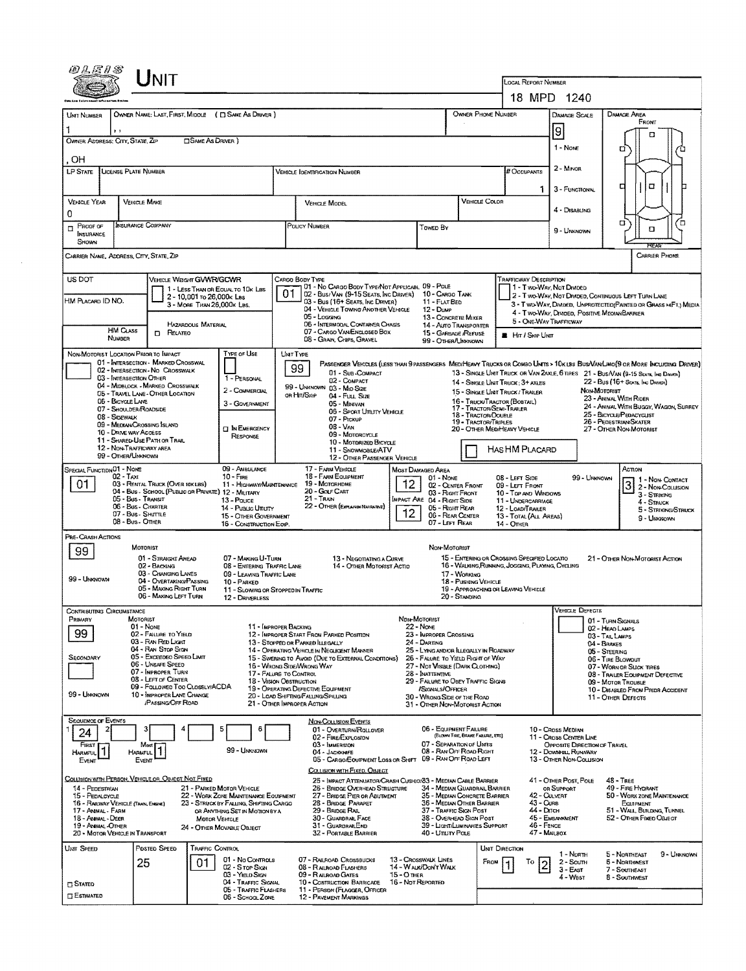|                                                                            |                                                                                    | UNIT                                                                     |                            |                                                                                |                                                                                                         |                                                                                                                                       |                   |                                                                                    |                                                  |                       |                                                                                                 |                                                                      |                                                                                             |                                                                                                                             |  |
|----------------------------------------------------------------------------|------------------------------------------------------------------------------------|--------------------------------------------------------------------------|----------------------------|--------------------------------------------------------------------------------|---------------------------------------------------------------------------------------------------------|---------------------------------------------------------------------------------------------------------------------------------------|-------------------|------------------------------------------------------------------------------------|--------------------------------------------------|-----------------------|-------------------------------------------------------------------------------------------------|----------------------------------------------------------------------|---------------------------------------------------------------------------------------------|-----------------------------------------------------------------------------------------------------------------------------|--|
|                                                                            |                                                                                    |                                                                          |                            |                                                                                |                                                                                                         |                                                                                                                                       |                   |                                                                                    |                                                  |                       | LOCAL REPORT NUMBER                                                                             |                                                                      |                                                                                             |                                                                                                                             |  |
|                                                                            |                                                                                    |                                                                          |                            |                                                                                |                                                                                                         |                                                                                                                                       |                   |                                                                                    |                                                  |                       | 18 MPD 1240                                                                                     |                                                                      |                                                                                             |                                                                                                                             |  |
| OWNER NAME: LAST, FIRST, MIDDLE ( C) SAME AS DRIVER )<br><b>UMT NUMBER</b> |                                                                                    |                                                                          |                            |                                                                                |                                                                                                         |                                                                                                                                       |                   |                                                                                    | OWNER PHONE NUMBER                               |                       |                                                                                                 | DAMAGE SCALE                                                         |                                                                                             | DAMAGE AREA<br>FRONT                                                                                                        |  |
| , ,<br>OWNER ADDRESS: CITY, STATE, ZIP<br>□ SAME AS DRIVER )               |                                                                                    |                                                                          |                            |                                                                                |                                                                                                         |                                                                                                                                       |                   |                                                                                    |                                                  |                       | g                                                                                               | п                                                                    |                                                                                             |                                                                                                                             |  |
| ЮH                                                                         |                                                                                    |                                                                          |                            |                                                                                |                                                                                                         |                                                                                                                                       |                   |                                                                                    |                                                  |                       |                                                                                                 | 1 - Nove                                                             |                                                                                             | o                                                                                                                           |  |
| LP STATE<br>LICENSE PLATE NUMBER<br>VEHICLE IDENTIFICATION NUMBER          |                                                                                    |                                                                          |                            |                                                                                |                                                                                                         |                                                                                                                                       |                   |                                                                                    |                                                  |                       | # Occupants                                                                                     | 2 - Minor                                                            |                                                                                             |                                                                                                                             |  |
|                                                                            |                                                                                    |                                                                          |                            |                                                                                |                                                                                                         |                                                                                                                                       |                   |                                                                                    |                                                  |                       | 1.                                                                                              | 3 - FUNCTIONAL                                                       |                                                                                             | α<br>г                                                                                                                      |  |
| VEHICLE YEAR                                                               | <b>VEHICLE MAKE</b>                                                                |                                                                          |                            |                                                                                |                                                                                                         | VEHICLE COLOR<br><b>VEHICLE MODEL</b>                                                                                                 |                   |                                                                                    |                                                  |                       | 4 - DISABLING                                                                                   |                                                                      |                                                                                             |                                                                                                                             |  |
| 0<br>Proof of<br>п                                                         | <b>INSURANCE COMPANY</b>                                                           |                                                                          |                            |                                                                                |                                                                                                         | Policy Number<br>Towed By                                                                                                             |                   |                                                                                    |                                                  |                       |                                                                                                 | 9 - UNKNOWN                                                          |                                                                                             | о<br>ם<br>O                                                                                                                 |  |
| INSURANCE<br>SHOWN                                                         |                                                                                    |                                                                          |                            |                                                                                |                                                                                                         |                                                                                                                                       |                   |                                                                                    |                                                  |                       |                                                                                                 |                                                                      |                                                                                             |                                                                                                                             |  |
| CARRIER NAME, ADORESS, CITY, STATE, ZIP                                    |                                                                                    |                                                                          |                            |                                                                                |                                                                                                         |                                                                                                                                       |                   |                                                                                    |                                                  |                       |                                                                                                 |                                                                      |                                                                                             | CARRIER PHONE                                                                                                               |  |
| US DOT                                                                     |                                                                                    | <b>VEHICLE WEIGHT GVWR/GCWR</b>                                          |                            |                                                                                |                                                                                                         | Cargo Body Type                                                                                                                       |                   |                                                                                    |                                                  |                       | TRAFFICWAY DESCRIPTION                                                                          |                                                                      |                                                                                             |                                                                                                                             |  |
| HM PLACARD ID NO.                                                          |                                                                                    |                                                                          | 2 - 10,001 To 26,000k Las  | 1 - LESS THAN OR EQUAL TO 10K LBS                                              | 01                                                                                                      | 01 - No CARGO BODY TYPE/NOT APPLICABL 09 - POLE<br>02 - Bus/VAN (9-15 SEATS, INC DRIVER)                                              |                   | 10 - CARGO TANK                                                                    |                                                  |                       | 1 - Two-Way, Not Divideo                                                                        |                                                                      |                                                                                             | 2 - Two Way, Not Divideo, Continuous Left Turn Lane                                                                         |  |
|                                                                            |                                                                                    |                                                                          | 3 - MORE THAN 26,000K LBS. |                                                                                |                                                                                                         | 03 - Bus (16+ Seats, Inc Driver)<br>04 - VEHICLE TOWING ANOTHER VEHICLE<br>05 - Logging                                               |                   | 11 - FLAT BED<br>12 - Dump<br>13 - CONCRETE MIXER                                  |                                                  |                       | 4 - Two Way, Divided, Positive Median Barrier                                                   |                                                                      | 3 - T WO-WAY, DIVIDED, UNPROTECTEO(PAINTED OR GRASS >4FT.) MEDIA                            |                                                                                                                             |  |
|                                                                            | <b>HM CLASS</b>                                                                    | <b>D</b> RELATED                                                         | <b>HAZARDOUS MATERIAL</b>  |                                                                                |                                                                                                         | <b>06 - INTERMODAL CONTAINER CHASIS</b><br>07 - CARGO VAN ENGLOSED BOX                                                                |                   | 14 - AUTO TRANSPORTER<br>15 - GARBAGE /REPUSE                                      |                                                  |                       | 5 - ONE-WAY TRAFFICWAY                                                                          |                                                                      |                                                                                             |                                                                                                                             |  |
|                                                                            | <b>NUMBER</b>                                                                      |                                                                          |                            |                                                                                |                                                                                                         | 08 - GRAIN, CHIPS, GRAVEL                                                                                                             |                   | 99 - OTHER/UNKNOWN                                                                 |                                                  |                       | <b>E</b> HIT / SKIP UNIT                                                                        |                                                                      |                                                                                             |                                                                                                                             |  |
| NON-MOTORIST LOCATION PRIOR TO IMPACT                                      |                                                                                    | 01 - INTERSECTION - MARKED CROSSWAL                                      |                            | TYPE OF USE                                                                    |                                                                                                         | <b>UNTTYPE</b>                                                                                                                        |                   |                                                                                    |                                                  |                       |                                                                                                 |                                                                      |                                                                                             | PASSENGER VEHICLES (LESS THAN 9 PASSENGERS MEDIHEAVY TRUCKS OR COMBO UNTS > 10KLBS BUS VAN LIMO(9 OR MORE INCLUDING DRIVER) |  |
|                                                                            | 03 - INTERSECTION OTHER                                                            | 02 - INTERSECTION - NO CROSSWALK                                         |                            | 1 - PERSONAL                                                                   |                                                                                                         | 99<br>01 - Sub-COMPACT<br>02 - COMPACT                                                                                                |                   |                                                                                    |                                                  |                       | 14 - SINGLE UNIT TRUCK: 3+ AXLES                                                                |                                                                      |                                                                                             | 13 - SINGLE UNIT TRUCK OR VAN 2AXLE, 6 TIRES 21 - BUS/VAN (9-15 SEATE, INC DRIVEN)<br>22 - Bus (16+ Seate, Inc Driver)      |  |
|                                                                            | 06 - BICYCLE LANE                                                                  | 04 - MIDBLOCK - MARKED CROSSWALK<br>05 - TRAVEL LANE - OTHER LOCATION    |                            | 2 - COMMERCIAL                                                                 |                                                                                                         | 99 - UNKNOWN 03 - MID SIZE<br>OR HIT/SKIP<br>04 - Fuu, Size                                                                           |                   |                                                                                    |                                                  |                       | 15 - SINGLE UNIT TRUCK / TRAILER<br>16 - Truck/Tractor (BOBTAIL)                                |                                                                      | NON-MOTORIST                                                                                | 23 - ANIMAL WITH RIDER                                                                                                      |  |
|                                                                            | 07 - SHOULDER/ROADSIDE<br>08 - Sidewalk                                            |                                                                          |                            | 3 - GOVERNMENT                                                                 |                                                                                                         | 05 - Minivan<br>06 - Sport Uttury Venicle                                                                                             |                   |                                                                                    | 17 - TRACTOR/SEMI-TRAILER<br>18 - Tractor/Double |                       |                                                                                                 | 24 - ANIMAL WITH BUGGY, WAGON, SURREY<br>25 - BICYCLE/PEDACYCLIST    |                                                                                             |                                                                                                                             |  |
|                                                                            | 10 - DRIVE WAY ACCESS                                                              | 09 - MEDIAN/CROSSING ISLAND                                              |                            | <b>IT IN EMERGENCY</b>                                                         | 07 - Prckup<br>19 - TRACTOR/TRIPLES<br>$08 - V_{AN}$<br>20 - OTHER MEDIHEAVY VEHICLE<br>09 - MOTORCYCLE |                                                                                                                                       |                   |                                                                                    |                                                  |                       | 26 - PEDESTRIAN/SKATER<br>27 - OTHER NON-MOTORIST                                               |                                                                      |                                                                                             |                                                                                                                             |  |
|                                                                            | 12 - NON-TRAFFICWAY AREA                                                           | 11 - SHARED-USE PATH OR TRAIL                                            |                            | <b>RESPONSE</b>                                                                | 10 - MOTORIZED BICYCLE<br>11 - SNOWMOBILE/ATV                                                           |                                                                                                                                       |                   |                                                                                    |                                                  | HAS HM PLACARD        |                                                                                                 |                                                                      |                                                                                             |                                                                                                                             |  |
|                                                                            | 99 - OTHER/LINKNOWN                                                                |                                                                          |                            | 09 - AMBULANCE                                                                 |                                                                                                         | 12 - OTHER PASSENGER VEHICLE<br>17 - FARM VEHICLE                                                                                     |                   |                                                                                    |                                                  |                       |                                                                                                 |                                                                      |                                                                                             | Астом                                                                                                                       |  |
| SPECIAL FUNCTION 01 - NONE<br>01                                           | $02 - TAT$                                                                         | 03 - RENTAL TRUCK (OVER 10KLBS)                                          |                            | $10 -$ Fine                                                                    |                                                                                                         | 18 - FARM EQUIPMENT<br>11 - Highway/MAINTENANCE 19 - MOTORHDME                                                                        | 12                | MOST DAMAGED AREA<br>01 - None                                                     | 02 - CENTER FRONT                                |                       | 08 - LEFT SIDE<br>09 - LEFT FRONT                                                               |                                                                      | 99 - UNKNOWN                                                                                | 1 1 - Non-Contact                                                                                                           |  |
|                                                                            | 05 - Bus - Transit                                                                 | 04 - Bus - SCHOOL (PUBLIC OR PRIVATE) 12 - MILITARY                      |                            | 13 - Pouce                                                                     |                                                                                                         | 20 - Gour Cart<br>03 - Right Front<br>10 - TOP AND WINDOWS<br>$21 -$ Train<br><b>IMPACT ARE 04 - RIGHT SIDE</b><br>11 - UNDERGARRIAGE |                   |                                                                                    |                                                  |                       |                                                                                                 | $\vert 3 \vert$<br>2 - Non-Collision<br>3 - STRIKING<br>$4 -$ STRUCK |                                                                                             |                                                                                                                             |  |
|                                                                            | 06 - Bus - Charter<br>07 - Bus - SHITTLE                                           |                                                                          |                            | 14 - Puauc Unurv<br>15 - OTHER GOVERNMENT                                      |                                                                                                         | 22 - OTHER (EXPLAININ NAVIRATIVE)<br>05 - Right Rear<br>12<br>06 - REAR CENTER                                                        |                   |                                                                                    |                                                  |                       | 12 - LOAD/TRAILER<br>13 - TOTAL (ALL AREAS)                                                     |                                                                      |                                                                                             | 5 - STRIKING/STRUCK<br>9 - Unickown                                                                                         |  |
| PRE-CRASH ACTIONS                                                          | 08 - Bus - Other<br>07 - LEFT REAR<br>16 - CONSTRUCTION EOIP.<br><b>14 - OTHER</b> |                                                                          |                            |                                                                                |                                                                                                         |                                                                                                                                       |                   |                                                                                    |                                                  |                       |                                                                                                 |                                                                      |                                                                                             |                                                                                                                             |  |
| 99                                                                         |                                                                                    | MOTORIST                                                                 |                            |                                                                                |                                                                                                         |                                                                                                                                       |                   | NON-MOTORIST                                                                       |                                                  |                       |                                                                                                 |                                                                      |                                                                                             |                                                                                                                             |  |
|                                                                            |                                                                                    | 01 - STRAIGHT AHEAD<br>02 - BACKING                                      |                            | 07 - MAKING U-TURN<br>08 - ENTERING TRAFFIC LANE                               |                                                                                                         | 13 - Negotiating a Curve<br>14 - OTHER MOTORIST ACTIO                                                                                 |                   |                                                                                    |                                                  |                       | 15 - ENTERING OR CROSSING SPECIFIED LOCATIO<br>16 - WALKING, RUMMUNG, JOGGING, PLAYING, CYCLING |                                                                      |                                                                                             | 21 - OTHER NON-MOTORIST ACTION                                                                                              |  |
| 99 - Unknown                                                               |                                                                                    | 03 - CHANGING LANES<br>04 - OVERTAKING/PASSING<br>05 - MAKING RIGHT TURN |                            | 09 - LEAVING TRAFFIC LANE<br>10 - PARKED                                       |                                                                                                         | 17 - WORKING<br>18 - Pushing Vehicle                                                                                                  |                   |                                                                                    |                                                  |                       |                                                                                                 |                                                                      |                                                                                             |                                                                                                                             |  |
|                                                                            |                                                                                    | 06 - Making Left Turn                                                    |                            | 11 - SLOWING OR STOPPED IN TRAFFIC<br>12 - DRIVERLESS                          |                                                                                                         |                                                                                                                                       |                   |                                                                                    | 20 - Standing                                    |                       | 19 - APPROACHING OR LEAVING VEHICLE                                                             |                                                                      |                                                                                             |                                                                                                                             |  |
| CONTRIBUTING CIRCUMSTANCE<br>PRIMARY                                       | MOTORIST                                                                           |                                                                          |                            |                                                                                |                                                                                                         |                                                                                                                                       | NDN-MOTORIST      |                                                                                    |                                                  |                       |                                                                                                 | VEHICLE DEFECTS                                                      |                                                                                             | 01 - TURN SIGNALS                                                                                                           |  |
| 99                                                                         |                                                                                    | 01 - Nome<br>02 - FALURE TO YIELD                                        |                            | 11 - IMPROPER BACKING                                                          |                                                                                                         | 12 - IMPROPER START FROM PARKED POSITION                                                                                              |                   | 22 - Nove<br>23 - IMPROPER CROSSING                                                |                                                  |                       |                                                                                                 |                                                                      |                                                                                             | 02 - HEAD LAMPS<br>03 - TAIL LAMPS                                                                                          |  |
|                                                                            |                                                                                    | 03 - Ray Rep Light<br>04 - RAN STOP STON                                 |                            |                                                                                |                                                                                                         | 13 - STOPPED OR PARKED ILLEGALLY<br>14 - OPERATING VEHICLE IN NEGLIGENT MANNER                                                        |                   | 24 - DARTING<br>25 - LYING ANDIOR ILLEGALLY IN ROADWAY                             |                                                  |                       |                                                                                                 |                                                                      | 04 - BRAKES<br>05 - STEERING                                                                |                                                                                                                             |  |
| SECONDARY                                                                  |                                                                                    | 05 - Excesseo Speed LIMIT<br>06 - UNSAFE SPEED<br>07 - IMPROPER TURN     |                            |                                                                                |                                                                                                         | 15 - Swering to Avoid (Due to External Conditions)<br>16 - WRONG SIDE/WRONG WAY                                                       |                   | 26 - FALURE TO YIELD RIGHT OF WAY<br>27 - Not Visiale (DARK CLOTHING)              |                                                  |                       |                                                                                                 |                                                                      |                                                                                             | 06 - TIRE BLOWOUT<br>07 - WORN OR SLICK TIRES                                                                               |  |
|                                                                            |                                                                                    | 08 - LEFT OF CENTER<br>09 - Foulowed Too CLoseLY/ACDA                    |                            | 17 - FALURE TO CONTROL<br>18 - Vision Obstruction                              |                                                                                                         | 19 - OPERATING DEFECTIVE EQUIPMENT                                                                                                    |                   | 28 - INATTEMTIVE<br>29 - FAILURE TO OBEY TRAFFIC SIGNS<br>/SIGNALS/OFFICER         |                                                  |                       |                                                                                                 |                                                                      | 08 - TRAILER EQUIPMENT DEFECTIVE<br>09 - MOTOR TROUBLE<br>10 - DISABLED FROM PRIDR ACCIDENT |                                                                                                                             |  |
| 99 - UMKNOWN                                                               |                                                                                    | 10 - IMPROPER LANE CHANGE<br><b>/PASSINGOFF ROAD</b>                     |                            |                                                                                |                                                                                                         | 20 - LOAD SHIFTING/FALLING/SPILLING<br>21 - OTHER IMPROPER ACTION                                                                     |                   | 30 - WRONG SIDE OF THE ROAD<br>31 - OTHER NON-MOTORIST ACTION                      |                                                  |                       |                                                                                                 |                                                                      |                                                                                             | 11 - OTHER DEFECTS                                                                                                          |  |
| <b>SEQUENCE OF EVENTS</b>                                                  |                                                                                    |                                                                          |                            |                                                                                |                                                                                                         | <b>NON-COLLISION EVENTS</b>                                                                                                           |                   |                                                                                    |                                                  |                       |                                                                                                 |                                                                      |                                                                                             |                                                                                                                             |  |
| 24                                                                         |                                                                                    |                                                                          |                            | 6                                                                              |                                                                                                         | 01 - OVERTURN/ROLLOVER<br>02 - FIRE/EXPLOSION                                                                                         |                   | 06 - EQUIPMENT FAILURE                                                             | (BLOWN TIRE, BRANE FAILIRE, ETC)                 |                       |                                                                                                 | 10 - Cross Median<br>11 - Cross Center Line                          |                                                                                             |                                                                                                                             |  |
| Frest<br>HARMPUL                                                           | HARMFUL                                                                            | Most                                                                     |                            | 99 - UNKNOWN                                                                   |                                                                                                         | 03 - IMMERSION<br>04 - JACKKNIFE                                                                                                      |                   | 07 - SEPARATION OF UNITS<br>08 - RAN OFF ROAD RIGHT                                |                                                  |                       |                                                                                                 | OPPOSITE DIRECTION OF TRAVEL<br>12 - DOWNHILL RUNAWAY                |                                                                                             |                                                                                                                             |  |
| EVENT                                                                      |                                                                                    | EVENT                                                                    |                            |                                                                                |                                                                                                         | 05 - CARGO/EQUIPMENT LOSS OR SHIFT<br>COLLISION WITH FIXED, OBJECT                                                                    |                   | 09 - RAN OFF ROAD LEFT                                                             |                                                  |                       |                                                                                                 | 13 - OTHER NON-COLLISION                                             |                                                                                             |                                                                                                                             |  |
| COLLISION WITH PERSON, VEHICLE OR OBJECT NOT FIXED<br>14 - PEDESTRIAN      |                                                                                    |                                                                          |                            | 21 - PARKED MOTOR VEHICLE                                                      |                                                                                                         | 25 - IMPACT ATTENUATOR/CRASH CUSHIO/33 - MEDIAN CABLE BARRIER<br>26 - BRIDGE OVERHEAD STRUCTURE                                       |                   | 34 - MEDIAN GUARDRAIL BARRIER                                                      |                                                  |                       |                                                                                                 | 41 - OTHER POST, POLE<br>OR SUPPORT                                  |                                                                                             | <b>48 - TREE</b><br>49 - FIRE HYDRANT                                                                                       |  |
| 15 - PEDALCYCLE<br>16 - RAILWAY VEHICLE (TRAIN, ENGINE)                    |                                                                                    |                                                                          |                            | 22 - WORK ZONE MAINTENANCE EQUIPMENT<br>23 - STRUCK BY FALLING, SHIFTING CARGO |                                                                                                         | 27 - BRIDGE PIER OR ABUTMENT<br>28 - BRIDGE PARAPET                                                                                   |                   | 35 - MEDIAN CONCRETE BARRIER<br>36 - MEDIAN OTHER BARRIER                          |                                                  |                       | 43 - Curs                                                                                       | 42 - CULVERT                                                         |                                                                                             | 50 - WORK ZONE MAINTENANCE<br>EQUIPMENT                                                                                     |  |
| 17 - Annial - Farm<br>18 - ANIMAL - DEER<br>19 - ANIMAL-OTHER              |                                                                                    |                                                                          | <b>MOTOR VEHICLE</b>       | OR ANYTHING SET IN MOTION BY A                                                 |                                                                                                         | 29 - Bridge Rail<br>30 - GUARDRAIL FACE<br>31 - GUARDRAILEND                                                                          |                   | 37 - TRAFFIC SIGN POST<br>38 - Overhead Sign Post<br>39 - Light/Luminaries Support |                                                  |                       | 44 - Олон<br>46 - FENCE                                                                         | 45 - EMBANKMENT                                                      |                                                                                             | 51 - WALL, BUILDING, TUNNEL<br>52 - OTHER FIXED OBJECT                                                                      |  |
| 20 - MOTOR VEHICLE IN TRANSPORT                                            |                                                                                    |                                                                          |                            | 24 - OTHER MOVABLE OBJECT                                                      |                                                                                                         | 32 - PORTABLE BARRIER                                                                                                                 |                   | 40 - UTIUTY POLE                                                                   |                                                  |                       | 47 - MAILBOX                                                                                    |                                                                      |                                                                                             |                                                                                                                             |  |
| <b>UNIT SPEED</b>                                                          |                                                                                    | Posted Speed                                                             | TRAFFIC CONTROL            | 01 - No Controls                                                               |                                                                                                         | 07 - RAILROAD CROSSBUCKS                                                                                                              |                   | 13 - Crosswalk Lines                                                               |                                                  | <b>UNIT DIRECTION</b> |                                                                                                 | 1 - North                                                            |                                                                                             | 5 - NORTHEAST<br>9 - UNKNOWN                                                                                                |  |
|                                                                            | 25                                                                                 |                                                                          | 01                         | 02 - S rop Sign<br>03 - Yigub Sign                                             |                                                                                                         | 08 - RAILROAD FLASHERS<br>09 - RAILROAD GATES                                                                                         | 15 - О тнев       | 14 - WALK/DON'T WALK                                                               |                                                  | FROM                  | То                                                                                              | 2 - South<br>$3 - East$                                              |                                                                                             | <b>6 - NORTHWEST</b><br>7 - Southeast                                                                                       |  |
| <b>CI STATED</b>                                                           |                                                                                    |                                                                          |                            | 04 - TRAFFIC SIGNAL<br>05 - TRAFFIC FLASHERS                                   |                                                                                                         | 10 - Costruction Barricade<br>11 - PERSON (FLAGGER, OFFICER                                                                           | 16 - Not Reported |                                                                                    |                                                  |                       |                                                                                                 | 4 - West                                                             |                                                                                             | 8 - SOUTHMEST                                                                                                               |  |
| ESTIMATED                                                                  |                                                                                    |                                                                          |                            | 06 - SCHOOL ZONE                                                               |                                                                                                         | <b>12 - PAVEMENT MARKINGS</b>                                                                                                         |                   |                                                                                    |                                                  |                       |                                                                                                 |                                                                      |                                                                                             |                                                                                                                             |  |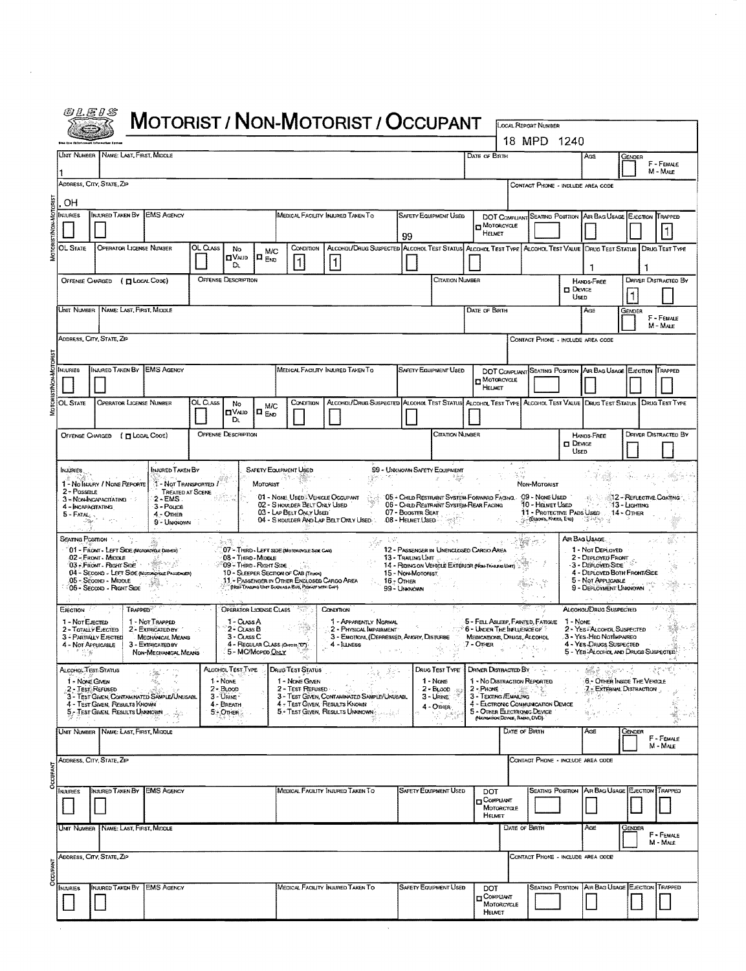| <i>©LE1S</i>                                  |                                                      |                                                               |         |                                           |                           |                                                                                    | <b>MOTORIST / NON-MOTORIST / OCCUPANT</b>                                                                         |                                       |                                                                               |               |                                                                                                       |                                                                                 |                       |                                                                                         |                         |                             |
|-----------------------------------------------|------------------------------------------------------|---------------------------------------------------------------|---------|-------------------------------------------|---------------------------|------------------------------------------------------------------------------------|-------------------------------------------------------------------------------------------------------------------|---------------------------------------|-------------------------------------------------------------------------------|---------------|-------------------------------------------------------------------------------------------------------|---------------------------------------------------------------------------------|-----------------------|-----------------------------------------------------------------------------------------|-------------------------|-----------------------------|
|                                               |                                                      |                                                               |         |                                           |                           |                                                                                    |                                                                                                                   |                                       |                                                                               |               |                                                                                                       | <b>LOCAL REPORT NUMBER</b><br>18 MPD 1240                                       |                       |                                                                                         |                         |                             |
|                                               | UNIT NUMBER   NAME: LAST, FIRST, MIDDLE              |                                                               |         |                                           |                           |                                                                                    |                                                                                                                   |                                       |                                                                               | DATE OF BIRTH |                                                                                                       |                                                                                 |                       | AGE                                                                                     | GENDER                  |                             |
|                                               |                                                      |                                                               |         |                                           |                           |                                                                                    |                                                                                                                   |                                       |                                                                               |               |                                                                                                       |                                                                                 |                       |                                                                                         |                         | F - FEMALE<br>M - MALE      |
| ADDRESS, CITY, STATE, ZIP                     |                                                      |                                                               |         |                                           |                           |                                                                                    |                                                                                                                   |                                       |                                                                               |               |                                                                                                       | CONTACT PHONE - INCLUDE AREA CODE                                               |                       |                                                                                         |                         |                             |
| OH<br>NJURIES                                 | Injured Taken By                                     | <b>EMS AGENCY</b>                                             |         |                                           |                           |                                                                                    | Medical Facility Indired Taken To                                                                                 |                                       | <b>SAFETY EQUIPMENT USED</b>                                                  |               |                                                                                                       |                                                                                 |                       | DOT COMPLIANT SEATING POSITION AIR BAG USAGE EJECTION TRAPPED                           |                         |                             |
|                                               |                                                      |                                                               |         |                                           |                           |                                                                                    |                                                                                                                   | 99                                    |                                                                               |               | MOTORCYCLE<br>HELMET                                                                                  |                                                                                 |                       |                                                                                         |                         |                             |
| OL State                                      | <b>OPERATOR LICENSE NUMBER</b>                       |                                                               | OL Cuss | No<br>$\blacksquare$ Vajd                 | M/C<br>$\Pi_{\text{Evo}}$ | CONDITION                                                                          | ALCOHDL/DRUG SUSPECTED ALCOHOL TEST STATUS ALCOHOL TEST TYPE ALCOHOL TEST VALUE DRUG TEST STATUS                  |                                       |                                                                               |               |                                                                                                       |                                                                                 |                       |                                                                                         |                         | Drug Test Type              |
|                                               |                                                      |                                                               |         | Dı.                                       |                           | $\vert$ 1                                                                          |                                                                                                                   |                                       |                                                                               |               |                                                                                                       |                                                                                 |                       | 1                                                                                       |                         |                             |
| <b>OFFENSE CHARGED</b>                        |                                                      | (I LOCAL CODE)                                                |         | <b>OFFENSE DESCRIPTION</b>                |                           |                                                                                    |                                                                                                                   |                                       | Citation Number                                                               |               |                                                                                                       |                                                                                 | <b>DEVICE</b><br>Usen | HANDS-FREE                                                                              |                         | DRIVER DISTRACTED BY        |
|                                               | Unit Number   Name: Last, First, Middle              |                                                               |         |                                           |                           |                                                                                    |                                                                                                                   |                                       |                                                                               | DATE OF BIRTH |                                                                                                       |                                                                                 | Age<br>Gender         |                                                                                         | F - FEMALE              |                             |
|                                               |                                                      |                                                               |         |                                           |                           |                                                                                    |                                                                                                                   |                                       |                                                                               |               |                                                                                                       |                                                                                 |                       |                                                                                         |                         | M - MALE                    |
| Address, City, State, Zip                     |                                                      |                                                               |         |                                           |                           |                                                                                    |                                                                                                                   |                                       |                                                                               |               |                                                                                                       | CONTACT PHONE - INCLUDE AREA CODE                                               |                       |                                                                                         |                         |                             |
| MJURIES                                       |                                                      | INJURED TAKEN BY EMS AGENCY                                   |         |                                           |                           |                                                                                    | MEDICAL FACILITY INJURED TAKEN TO                                                                                 |                                       | SAFETY EQUIPMENT USED                                                         |               |                                                                                                       |                                                                                 |                       | DOT COMPLIANT SEATING POSITION AIR BAG USAGE EJECTION IT RAPPED                         |                         |                             |
|                                               |                                                      |                                                               |         |                                           |                           |                                                                                    |                                                                                                                   |                                       |                                                                               |               | MOTORCYCLE<br>HELMET                                                                                  |                                                                                 |                       |                                                                                         |                         |                             |
| <b>OL STATE</b>                               | OPERATOR LICENSE NUMBER                              |                                                               | OL Cuss | No<br><b>CIVALID</b>                      | M/C<br>I¤ <sub>Erd</sub>  | CONDITION                                                                          | ALCONOLIDRUG SUSPECTED ALCONOL TEST STATUS ALCONOL TEST TYPE ALCONOL TEST VALUE DRUG TEST STATUS   DRUG TEST TYPE |                                       |                                                                               |               |                                                                                                       |                                                                                 |                       |                                                                                         |                         |                             |
|                                               | OFFENSE CHARGED ( [ LOCAL COOE)                      |                                                               |         | Dı,<br><b>OFFENSE DESCRIPTION</b>         |                           |                                                                                    |                                                                                                                   |                                       | Citation Number                                                               |               |                                                                                                       |                                                                                 |                       | <b>HANDS-FREE</b>                                                                       |                         | <b>DRIVER DISTRACTED BY</b> |
|                                               |                                                      |                                                               |         |                                           |                           |                                                                                    |                                                                                                                   |                                       |                                                                               |               |                                                                                                       |                                                                                 | $\Box$ Device<br>Used |                                                                                         |                         |                             |
| <b>INJURIES</b>                               |                                                      | INJURED TAKEN BY                                              |         |                                           |                           | <b>SAFETY EQUIPMENT USED</b>                                                       | 167                                                                                                               |                                       | 99 - UNKNOVIN SAFETY EQUIPMENT                                                |               |                                                                                                       |                                                                                 |                       |                                                                                         | Steep.                  |                             |
| 2 - Possible                                  | 1 - No INJURY / NONE REPORTE<br>3-NON-INCAPACITATING | 1 - Not Transported 7<br><b>TREATED AT SCENE</b><br>$2 - EMS$ |         |                                           | MOTORIST                  | 01 - NONE USED VEHICLE OCCUPANT                                                    |                                                                                                                   |                                       | 05 - Child Restraint System-Forward Facing. 09 - None Used                    |               |                                                                                                       | Non-Motorist                                                                    |                       |                                                                                         | 12 - REFLECTIVE COATING |                             |
| 4 - Incapacitating<br>$5$ - Fatal, $\sqrt{ }$ |                                                      | 3 - Pouce<br>$4 -$ Othen                                      |         |                                           |                           | 02 - SHOULDER BELT ONLY USED<br>03 - LAP BELT ONLY USED                            | 04 - S HOULDER AND LAP BELT ONLY USED                                                                             | 07 - Booster Seat<br>08 - HELMET USED | 06 - CHILD RESTRAINT SYSTEM-REAR FACING                                       |               |                                                                                                       | 10 - Helmet Used<br>(ELBOWS, KIEES, ETC)                                        |                       | ∵: -∷ ∵13 - Ligemiwg<br>11 - PROTECTIVE PADS USED 14 - OTHER<br>াউস্ট্রেছ নু            |                         |                             |
| SEATING POSITION                              |                                                      | 9 - UNKNOWN                                                   |         |                                           |                           |                                                                                    |                                                                                                                   | 3.5K (                                |                                                                               |               |                                                                                                       |                                                                                 |                       | AIR BAG USAGE                                                                           |                         |                             |
|                                               | 02 - Front - Middle                                  | 01 - FRONT - LEFT SIDE (MOTORCYCLE DRIVER)                    |         | 08 - Third - Middle                       |                           | 07 - THIRD - LEFT SIDE (MOTOROYOLE SIDE CAR)                                       |                                                                                                                   |                                       | 12 - PASSENGER IN UNENCLOSED CARGO AREA<br><b>13 - TRAILING UNIT</b> $\ldots$ |               |                                                                                                       |                                                                                 |                       | 1 - Not Deployed<br>2 - DEPLOYED FRONT                                                  |                         |                             |
|                                               | 03 - Front - Fight Side<br>05 - Second - Middle      | 04 - SECOND - LEFT SIDE (MOTORCYLLE PASSEMER)                 |         | 09 - Third - Right Side                   |                           | 10 - SLEEPER SECTION OF CAB (TRUCK)<br>11 - PASSENGER IN OTHER ENGLOSED CARGO AREA |                                                                                                                   | 15 - Non-Motorist<br>16 - OTHER       | 14 - RIDING ON VEHICLE EXTERIOR (NON-TRAUDRELINT)                             |               |                                                                                                       |                                                                                 |                       | 3 - DEPLOYED SIDE<br>4 - DEPLOYED BOTH FRONTASIDE<br>5 - Not Applicable                 |                         |                             |
|                                               | 06 - Second - Right Side                             |                                                               |         |                                           |                           | (NOF TRAILING UNIT SUCH AS A BUS, PROCUP WITH CAP)                                 |                                                                                                                   | 99 - UNKNOWN                          |                                                                               |               |                                                                                                       |                                                                                 |                       | 9 - DEPLOYMENT UNKNOWN                                                                  |                         |                             |
| Елестюм -<br>1 - Not EJECTED                  |                                                      | <b>TRAPPED</b><br>1 - Not Trapped                             |         | <b>OPERATOR LICENSE CLASS</b><br>1-CLASSA |                           |                                                                                    | CONDITION<br>1 - APPARENTLY NORMAL                                                                                |                                       |                                                                               |               | 5 - FELL ASLEEP, FAINTED, FATIOUE                                                                     |                                                                                 | 1 - None              | ALCOHOL/DRUG SUSPECTED                                                                  |                         |                             |
| 2 - TOTALLY EJECTED<br>3 - PARTIALY E ECTED   |                                                      | 2 - EXTRIGATED BY<br><b>MECHANICAL MEANS</b>                  |         | 2 - CLASS B<br>3 - CLASS C                |                           |                                                                                    | 2 - PHYSICAL IMPAIRMENT<br>3 - EMOTIONI, (DEPRESSED, ANGRY, DISTURBE                                              | $\sigma_{\rm{e}}$                     |                                                                               |               | 6 - Under The Influence of ?<br>MEDICATIONS, DRUGS, ALCOHOL                                           |                                                                                 |                       | 2 - YES - ALCOHOL SUSPECTED<br>3 - Yes Han Norlupareo                                   |                         |                             |
| 4 - NOT APPLICABLE                            |                                                      | 3 - EXTRICATED BY<br>NON-MECHANICAL MEANS                     |         |                                           | 5 - MC/Moreo Only         | 4 - REGULAR CLASS (OVIDE TOT)<br>79                                                | $4 - \lambda$                                                                                                     |                                       |                                                                               | 7 - OTHER     |                                                                                                       | $\mathcal{P}_{\mathcal{N},\mathcal{N}_{\mathcal{S}^{\prime}}\times\mathcal{G}}$ |                       | 4 - Yes-Drugs Suspected<br>5 - YES ALCOHOL AND DRUGS SUSPECTED                          |                         |                             |
| ALCOHOL TEST STATUS<br>1 - Nove Given         |                                                      | $\langle \hat{z}_\mathrm{g} \rangle$<br>$^+$ 2                |         | ALCOHOL TEST TYPE<br>$1 - None$           |                           | DRUG TEST STATUS<br>1 - NONE GIVEN                                                 |                                                                                                                   | 것하시                                   | DRUG TEST TYPE<br>1 - None                                                    |               | DRIVER DISTRACTED BY A SALE<br>1 - No DISTRACTION REPORTED                                            |                                                                                 |                       | $\mathcal{G}(\mathcal{C}_1,\mathcal{C}_2)$<br>್ಲಾ ಅನ್ ಸ<br>6 - Ofher Inside The Ventale |                         |                             |
| 2 - Test, Refused                             |                                                      | 3 - TEST GIVEN, CONTAMINATED SAMPLE/UNUSABL                   |         | $2 - B$ LOOD<br>$3 -$ URINE $\cdot$       |                           | 2 - Test Rerusen                                                                   | 3 - TEST GIVEN, CONTAMINATED SAMPLE/UNUSABL                                                                       |                                       | $2 - B_{LOO0}$<br>$3 -$ URINE                                                 | $2 -$ PHONE   | -1229<br>3 - TEXTING/EMAILING                                                                         |                                                                                 |                       | 7 - EXTERNAL DISTRACTION                                                                |                         |                             |
|                                               | 4 - TEST GIVEN, RESULTS KNOWN                        | 5 - Test Given, Results Unknown                               |         | 4 - BREATH<br>5 - OTHER                   |                           |                                                                                    | 4 - TEST GIVEN, RESULTS KNOWN<br>5. TEST GIVEN, RESULTS UNKNOWNS COLLECT                                          |                                       | 4 - OTHER-<br>3. P                                                            |               | 4 - ELCTRONIC COMMUNICATION DEVICE<br>5 - OTHER ELECTRONIC DEVICE<br>(NAVIGATION DEVICE, RADIO, DVD). |                                                                                 |                       |                                                                                         |                         |                             |
|                                               | Unit Number   Name: Last, First, Middle              |                                                               |         |                                           |                           |                                                                                    |                                                                                                                   |                                       |                                                                               |               | DATE OF BIRTH                                                                                         |                                                                                 |                       | AGE                                                                                     | GENDER                  | F - FEMALE<br>M - MALE      |
| ADDRESS, CITY, STATE, ZIP                     |                                                      |                                                               |         |                                           |                           |                                                                                    |                                                                                                                   |                                       |                                                                               |               |                                                                                                       | CONTACT PHONE - INCLUDE AREA CODE                                               |                       |                                                                                         |                         |                             |
|                                               |                                                      |                                                               |         |                                           |                           |                                                                                    |                                                                                                                   |                                       |                                                                               |               |                                                                                                       |                                                                                 |                       |                                                                                         |                         |                             |
| NJURIES                                       | INJURED TAKEN BY                                     | <b>EMS AGENCY</b>                                             |         |                                           |                           |                                                                                    | MEDICAL FACILITY INJURED TAKEN TO                                                                                 |                                       | <b>SAFETY EQUIPMENT USED</b>                                                  | DOT           | COMPLIANT<br>MOTORCYCLE                                                                               | <b>SEATING POSTTION</b>                                                         |                       | AR BAG USAGE EJECTION                                                                   |                         | TRAPPED                     |
|                                               | UNIT NUMBER   NAME: LAST, FIRST, MIDDLE              |                                                               |         |                                           |                           |                                                                                    |                                                                                                                   |                                       |                                                                               |               | HELMET<br><b>DATE OF BIRTH</b>                                                                        |                                                                                 |                       | AGE                                                                                     | GENDER                  |                             |
|                                               |                                                      |                                                               |         |                                           |                           |                                                                                    |                                                                                                                   |                                       |                                                                               |               |                                                                                                       |                                                                                 |                       |                                                                                         |                         | F - FEMALE<br>M - MALE      |
| ADDRESS, CITY, STATE, ZIP                     |                                                      |                                                               |         |                                           |                           |                                                                                    |                                                                                                                   |                                       |                                                                               |               |                                                                                                       | CONTACT PHONE - INCLUDE AREA CODE                                               |                       |                                                                                         |                         |                             |
| INJURIES                                      | <b>INJURED TAKEN BY</b>                              | <b>EMS AGENCY</b>                                             |         |                                           |                           |                                                                                    | MEDICAL FACILITY INJURED TAKEN TO                                                                                 |                                       | <b>SAFETY EQUIPMENT USED</b>                                                  | DOT.          |                                                                                                       |                                                                                 |                       | SEATING POSITION AIR BAG USAGE EJECTION TRAPPED                                         |                         |                             |
|                                               |                                                      |                                                               |         |                                           |                           |                                                                                    |                                                                                                                   |                                       |                                                                               |               | COMPLIANT<br>MOTORCYCLE                                                                               |                                                                                 |                       |                                                                                         |                         |                             |
|                                               |                                                      |                                                               |         |                                           |                           |                                                                                    |                                                                                                                   |                                       |                                                                               |               | HELMET                                                                                                |                                                                                 |                       |                                                                                         |                         |                             |